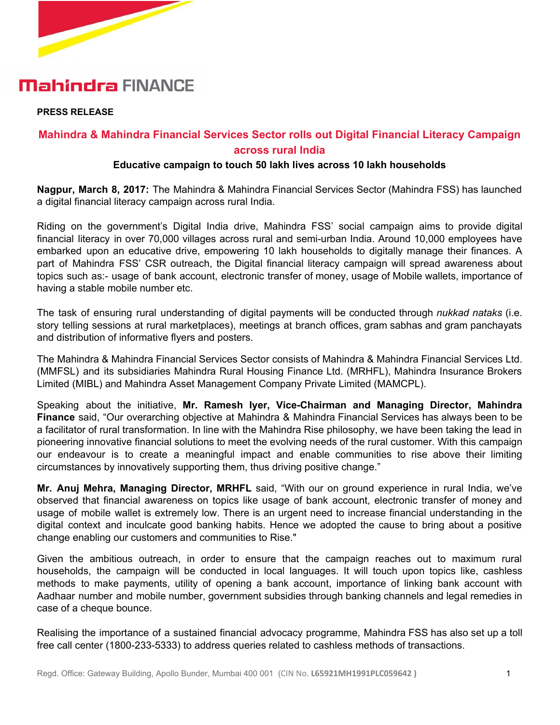

#### **PRESS RELEASE**

### **Mahindra & Mahindra Financial Services Sector rolls out Digital Financial Literacy Campaign across rural India**

#### **Educative campaign to touch 50 lakh lives across 10 lakh households**

**Nagpur, March 8, 2017:** The Mahindra & Mahindra Financial Services Sector (Mahindra FSS) has launched a digital financial literacy campaign across rural India.

Riding on the government's Digital India drive, Mahindra FSS' social campaign aims to provide digital financial literacy in over 70,000 villages across rural and semi-urban India. Around 10,000 employees have embarked upon an educative drive, empowering 10 lakh households to digitally manage their finances. A part of Mahindra FSS' CSR outreach, the Digital financial literacy campaign will spread awareness about topics such as:- usage of bank account, electronic transfer of money, usage of Mobile wallets, importance of having a stable mobile number etc.

The task of ensuring rural understanding of digital payments will be conducted through *nukkad nataks* (i.e. story telling sessions at rural marketplaces), meetings at branch offices, gram sabhas and gram panchayats and distribution of informative flyers and posters.

The Mahindra & Mahindra Financial Services Sector consists of Mahindra & Mahindra Financial Services Ltd. (MMFSL) and its subsidiaries Mahindra Rural Housing Finance Ltd. (MRHFL), Mahindra Insurance Brokers Limited (MIBL) and Mahindra Asset Management Company Private Limited (MAMCPL).

Speaking about the initiative, **Mr. Ramesh Iyer, Vice-Chairman and Managing Director, Mahindra Finance** said, "Our overarching objective at Mahindra & Mahindra Financial Services has always been to be a facilitator of rural transformation. In line with the Mahindra Rise philosophy, we have been taking the lead in pioneering innovative financial solutions to meet the evolving needs of the rural customer. With this campaign our endeavour is to create a meaningful impact and enable communities to rise above their limiting circumstances by innovatively supporting them, thus driving positive change."

**Mr. Anuj Mehra, Managing Director, MRHFL** said, "With our on ground experience in rural India, we've observed that financial awareness on topics like usage of bank account, electronic transfer of money and usage of mobile wallet is extremely low. There is an urgent need to increase financial understanding in the digital context and inculcate good banking habits. Hence we adopted the cause to bring about a positive change enabling our customers and communities to Rise."

Given the ambitious outreach, in order to ensure that the campaign reaches out to maximum rural households, the campaign will be conducted in local languages. It will touch upon topics like, cashless methods to make payments, utility of opening a bank account, importance of linking bank account with Aadhaar number and mobile number, government subsidies through banking channels and legal remedies in case of a cheque bounce.

Realising the importance of a sustained financial advocacy programme, Mahindra FSS has also set up a toll free call center (1800-233-5333) to address queries related to cashless methods of transactions.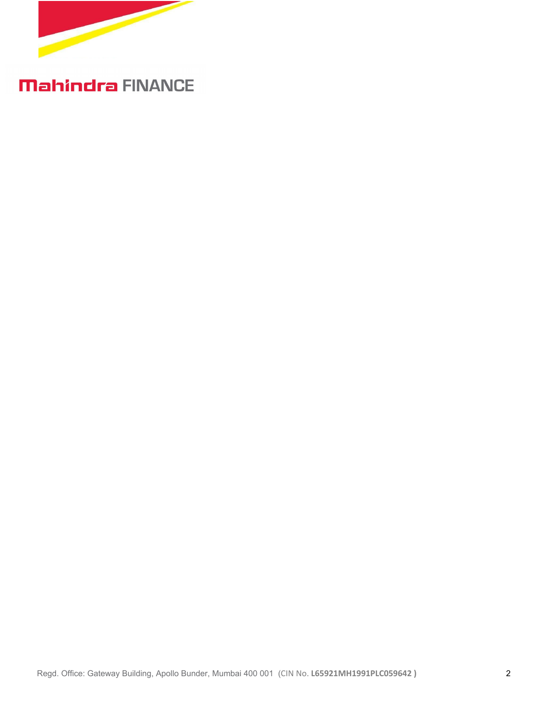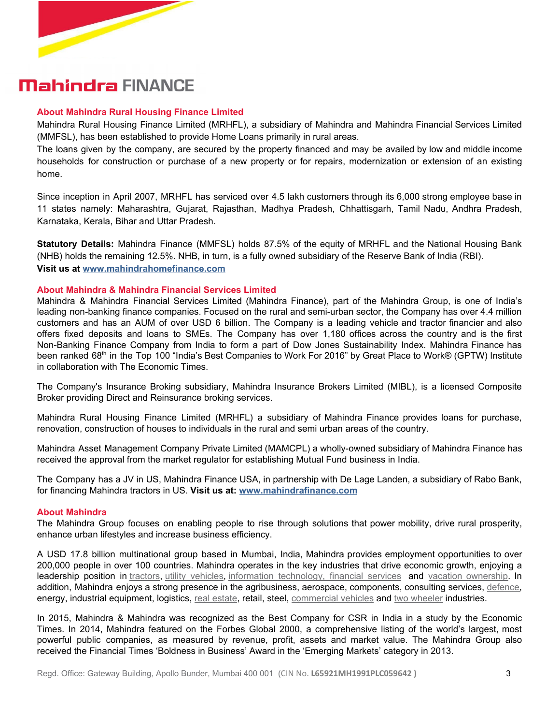

#### **About Mahindra Rural Housing Finance Limited**

Mahindra Rural Housing Finance Limited (MRHFL), a subsidiary of Mahindra and Mahindra Financial Services Limited (MMFSL), has been established to provide Home Loans primarily in rural areas.

The loans given by the company, are secured by the property financed and may be availed by low and middle income households for construction or purchase of a new property or for repairs, modernization or extension of an existing home.

Since inception in April 2007, MRHFL has serviced over 4.5 lakh customers through its 6,000 strong employee base in 11 states namely: Maharashtra, Gujarat, Rajasthan, Madhya Pradesh, Chhattisgarh, Tamil Nadu, Andhra Pradesh, Karnataka, Kerala, Bihar and Uttar Pradesh.

**Statutory Details:** Mahindra Finance (MMFSL) holds 87.5% of the equity of MRHFL and the National Housing Bank (NHB) holds the remaining 12.5%. NHB, in turn, is a fully owned subsidiary of the Reserve Bank of India (RBI). **Visit us at www.mahindrahomefinance.com**

#### **About Mahindra & Mahindra Financial Services Limited**

Mahindra & Mahindra Financial Services Limited (Mahindra Finance), part of the Mahindra Group, is one of India's leading non-banking finance companies. Focused on the rural and semi-urban sector, the Company has over 4.4 million customers and has an AUM of over USD 6 billion. The Company is a leading vehicle and tractor financier and also offers fixed deposits and loans to SMEs. The Company has over 1,180 offices across the country and is the first Non-Banking Finance Company from India to form a part of Dow Jones Sustainability Index. Mahindra Finance has been ranked 68<sup>th</sup> in the Top 100 "India's Best Companies to Work For 2016" by Great Place to Work® (GPTW) Institute in collaboration with The Economic Times.

The Company's Insurance Broking subsidiary, Mahindra Insurance Brokers Limited (MIBL), is a licensed Composite Broker providing Direct and Reinsurance broking services.

Mahindra Rural Housing Finance Limited (MRHFL) a subsidiary of Mahindra Finance provides loans for purchase, renovation, construction of houses to individuals in the rural and semi urban areas of the country.

Mahindra Asset Management Company Private Limited (MAMCPL) a wholly-owned subsidiary of Mahindra Finance has received the approval from the market regulator for establishing Mutual Fund business in India.

The Company has a JV in US, Mahindra Finance USA, in partnership with De Lage Landen, a subsidiary of Rabo Bank, for financing Mahindra tractors in US. **Visit us at: www.mahindrafinance.com**

#### **About Mahindra**

The Mahindra Group focuses on enabling people to rise through solutions that power mobility, drive rural prosperity, enhance urban lifestyles and increase business efficiency.

A USD 17.8 billion multinational group based in Mumbai, India, Mahindra provides employment opportunities to over 200,000 people in over 100 countries. Mahindra operates in the key industries that drive economic growth, enjoying a leadership position in [tractors,](http://www.mahindra.com/What-We-Do/Farm-Equipment) utility [vehicles](http://www.mahindra.com/What-We-Do/Automotive), [information](http://www.mahindra.com/What-We-Do/Information-Technology) technology, financial [services](http://www.mahindra.com/What-We-Do/Finance-and-Insurance/Companies/Mahindra-and-Mahindra-Financial-Services) and vacation [ownership.](http://www.clubmahindra.com/) In addition, Mahindra enjoys a strong presence in the agribusiness, aerospace, components, consulting services, [defence](http://www.mdsarmouredvehicles.com/), energy, industrial equipment, logistics, real [estate,](http://www.mahindra.com/What-We-Do/Real-Estate) retail, steel, [commercial](http://www.mahindra.com/What-We-do/Automotive/Products) vehicles and two [wheeler](http://www.mahindra.com/What-We-Do/Two-Wheelers) industries.

In 2015, Mahindra & Mahindra was recognized as the Best Company for CSR in India in a study by the Economic Times. In 2014, Mahindra featured on the Forbes Global 2000, a comprehensive listing of the world's largest, most powerful public companies, as measured by revenue, profit, assets and market value. The Mahindra Group also received the Financial Times 'Boldness in Business' Award in the 'Emerging Markets' category in 2013.